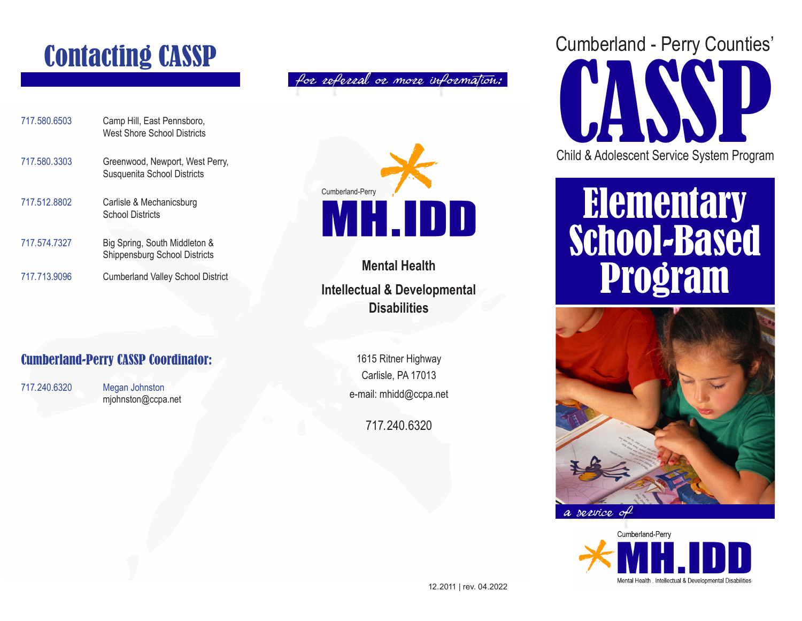### Contacting CASSP

| 717.580.6503 | Camp Hill, East Pennsboro,<br>West Shore School Districts      |
|--------------|----------------------------------------------------------------|
| 717.580.3303 | Greenwood, Newport, West Perry,<br>Susquenita School Districts |
| 717.512.8802 | Carlisle & Mechanicsburg<br><b>School Districts</b>            |
| 717.574.7327 | Big Spring, South Middleton &<br>Shippensburg School Districts |
| 717.713.9096 | <b>Cumberland Valley School District</b>                       |



for referral or more information:



**Mental Health Intellectual & Developmental Disabilities**

#### Cumberland-Perry CASSP Coordinator:

717.240.6320 Megan Johnston mjohnston@ccpa.net

1615 Ritner Highway Carlisle, PA 17013 e-mail: mhidd@ccpa.net

717.240.6320



## Elementary School-Based Program